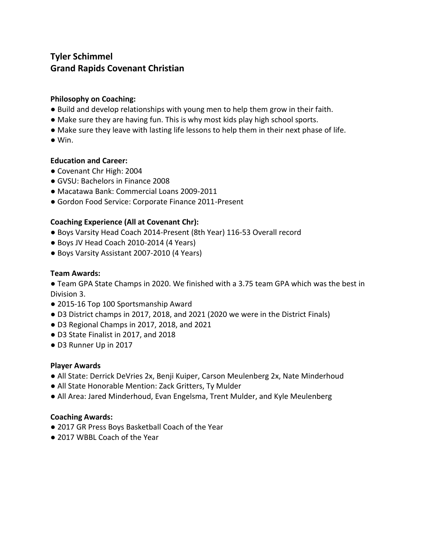# **Tyler Schimmel Grand Rapids Covenant Christian**

## **Philosophy on Coaching:**

- Build and develop relationships with young men to help them grow in their faith.
- Make sure they are having fun. This is why most kids play high school sports.
- Make sure they leave with lasting life lessons to help them in their next phase of life.
- $\bullet$  Win.

#### **Education and Career:**

- Covenant Chr High: 2004
- GVSU: Bachelors in Finance 2008
- Macatawa Bank: Commercial Loans 2009-2011
- **●** Gordon Food Service: Corporate Finance 2011-Present

### **Coaching Experience (All at Covenant Chr):**

- Boys Varsity Head Coach 2014-Present (8th Year) 116-53 Overall record
- Boys JV Head Coach 2010-2014 (4 Years)
- Boys Varsity Assistant 2007-2010 (4 Years)

## **Team Awards:**

● Team GPA State Champs in 2020. We finished with a 3.75 team GPA which was the best in Division 3.

- 2015-16 Top 100 Sportsmanship Award
- D3 District champs in 2017, 2018, and 2021 (2020 we were in the District Finals)
- D3 Regional Champs in 2017, 2018, and 2021
- D3 State Finalist in 2017, and 2018
- D3 Runner Up in 2017

#### **Player Awards**

- All State: Derrick DeVries 2x, Benji Kuiper, Carson Meulenberg 2x, Nate Minderhoud
- All State Honorable Mention: Zack Gritters, Ty Mulder
- All Area: Jared Minderhoud, Evan Engelsma, Trent Mulder, and Kyle Meulenberg

#### **Coaching Awards:**

- 2017 GR Press Boys Basketball Coach of the Year
- 2017 WBBL Coach of the Year